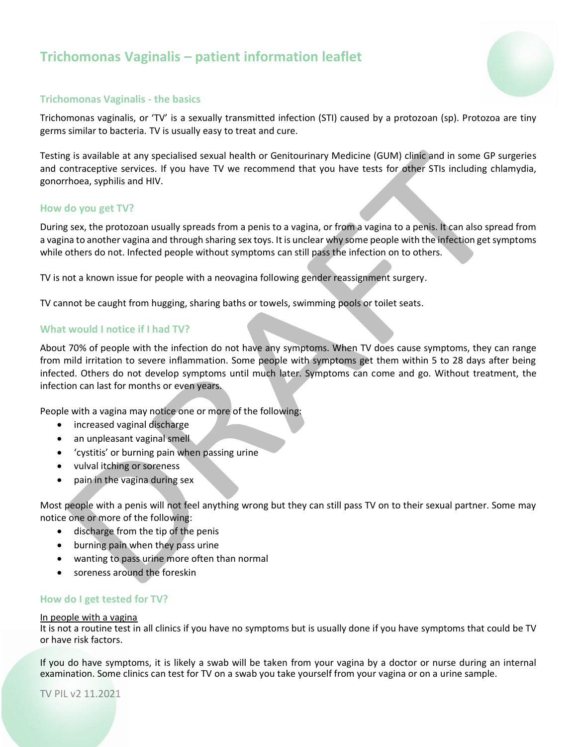# **Trichomonas Vaginalis – patient information leaflet**



# **Trichomonas Vaginalis - the basics**

Trichomonas vaginalis, or 'TV' is a sexually transmitted infection (STI) caused by a protozoan (sp). Protozoa are tiny germs similar to bacteria. TV is usually easy to treat and cure.

Testing is available at any specialised sexual health or Genitourinary Medicine (GUM) clinic and in some GP surgeries and contraceptive services. If you have TV we recommend that you have tests for other STIs including chlamydia, gonorrhoea, syphilis and HIV.

# **How do you get TV?**

During sex, the protozoan usually spreads from a penis to a vagina, or from a vagina to a penis. It can also spread from a vagina to another vagina and through sharing sex toys. It is unclear why some people with the infection get symptoms while others do not. Infected people without symptoms can still pass the infection on to others.

TV is not a known issue for people with a neovagina following gender reassignment surgery.

TV cannot be caught from hugging, sharing baths or towels, swimming pools or toilet seats.

# **What would I notice if I had TV?**

About 70% of people with the infection do not have any symptoms. When TV does cause symptoms, they can range from mild irritation to severe inflammation. Some people with symptoms get them within 5 to 28 days after being infected. Others do not develop symptoms until much later. Symptoms can come and go. Without treatment, the infection can last for months or even years.

People with a vagina may notice one or more of the following:

- increased vaginal discharge
- an unpleasant vaginal smell
- 'cystitis' or burning pain when passing urine
- vulval itching or soreness
- pain in the vagina during sex

Most people with a penis will not feel anything wrong but they can still pass TV on to their sexual partner. Some may notice one or more of the following:

- discharge from the tip of the penis
- burning pain when they pass urine
- wanting to pass urine more often than normal
- soreness around the foreskin

# **How do I get tested for TV?**

#### In people with a vagina

It is not a routine test in all clinics if you have no symptoms but is usually done if you have symptoms that could be TV or have risk factors.

If you do have symptoms, it is likely a swab will be taken from your vagina by a doctor or nurse during an internal examination. Some clinics can test for TV on a swab you take yourself from your vagina or on a urine sample.

TV PIL v2 11.2021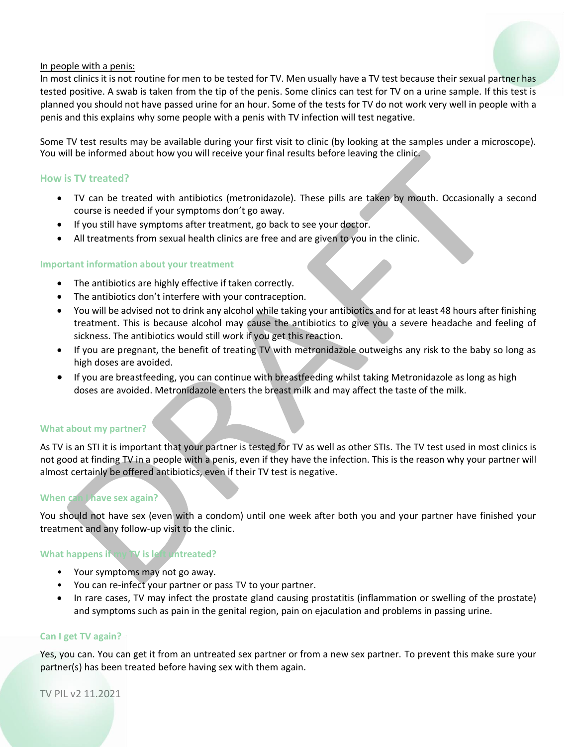## In people with a penis:

In most clinics it is not routine for men to be tested for TV. Men usually have a TV test because their sexual partner has tested positive. A swab is taken from the tip of the penis. Some clinics can test for TV on a urine sample. If this test is planned you should not have passed urine for an hour. Some of the tests for TV do not work very well in people with a penis and this explains why some people with a penis with TV infection will test negative.

Some TV test results may be available during your first visit to clinic (by looking at the samples under a microscope). You will be informed about how you will receive your final results before leaving the clinic.

## **How is TV treated?**

- TV can be treated with antibiotics (metronidazole). These pills are taken by mouth. Occasionally a second course is needed if your symptoms don't go away.
- If you still have symptoms after treatment, go back to see your doctor.
- All treatments from sexual health clinics are free and are given to you in the clinic.

#### **Important information about your treatment**

- The antibiotics are highly effective if taken correctly.
- The antibiotics don't interfere with your contraception.
- You will be advised not to drink any alcohol while taking your antibiotics and for at least 48 hours after finishing treatment. This is because alcohol may cause the antibiotics to give you a severe headache and feeling of sickness. The antibiotics would still work if you get this reaction.
- If you are pregnant, the benefit of treating TV with metronidazole outweighs any risk to the baby so long as high doses are avoided.
- If you are breastfeeding, you can continue with breastfeeding whilst taking Metronidazole as long as high doses are avoided. Metronidazole enters the breast milk and may affect the taste of the milk.

#### **What about my partner?**

As TV is an STI it is important that your partner is tested for TV as well as other STIs. The TV test used in most clinics is not good at finding TV in a people with a penis, even if they have the infection. This is the reason why your partner will almost certainly be offered antibiotics, even if their TV test is negative.

## **When can I have sex again?**

You should not have sex (even with a condom) until one week after both you and your partner have finished your treatment and any follow-up visit to the clinic.

# **What happens if my TV is left untreated?**

- Your symptoms may not go away.
- You can re-infect your partner or pass TV to your partner.
- In rare cases, TV may infect the prostate gland causing prostatitis (inflammation or swelling of the prostate) and symptoms such as pain in the genital region, pain on ejaculation and problems in passing urine.

#### **Can I get TV again?**

Yes, you can. You can get it from an untreated sex partner or from a new sex partner. To prevent this make sure your partner(s) has been treated before having sex with them again.

TV PIL v2 11.2021